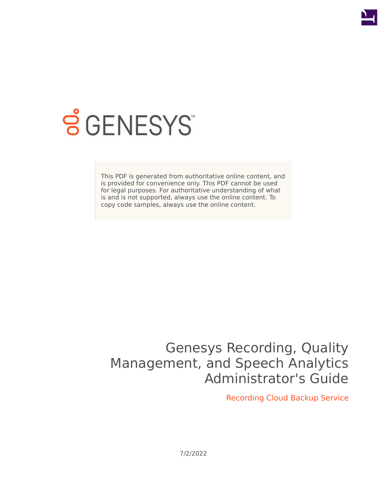

# **SGENESYS**

This PDF is generated from authoritative online content, and is provided for convenience only. This PDF cannot be used for legal purposes. For authoritative understanding of what is and is not supported, always use the online content. To copy code samples, always use the online content.

## Genesys Recording, Quality Management, and Speech Analytics Administrator's Guide

Recording Cloud Backup Service

7/2/2022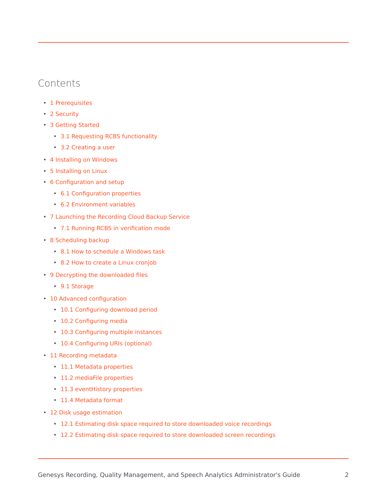## Contents

- 1 [Prerequisites](#page-2-0)
- 2 [Security](#page-3-0)
- 3 [Getting Started](#page-3-1)
	- 3.1 [Requesting RCBS functionality](#page-3-2)
	- 3.2 [Creating a user](#page-4-0)
- 4 [Installing on Windows](#page-4-1)
- 5 [Installing on Linux](#page-5-0)
- 6 [Configuration and setup](#page-5-1)
	- 6.1 [Configuration properties](#page-6-0)
	- 6.2 [Environment variables](#page-7-0)
- 7 [Launching the Recording Cloud Backup Service](#page-7-1)
	- 7.1 [Running RCBS in verification mode](#page-9-0)
- 8 [Scheduling backup](#page-10-0)
	- 8.1 [How to schedule a Windows task](#page-10-1)
	- 8.2 [How to create a Linux cronjob](#page-10-2)
- 9 [Decrypting the downloaded files](#page-11-0)
	- 9.1 [Storage](#page-11-1)
- 10 [Advanced configuration](#page-11-2)
	- 10.1 [Configuring download period](#page-12-0)
	- 10.2 [Configuring media](#page-14-0)
	- 10.3 [Configuring multiple instances](#page-15-0)
	- 10.4 [Configuring URIs \(optional\)](#page-16-0)
- 11 [Recording metadata](#page-16-1)
	- 11.1 [Metadata properties](#page-17-0)
	- 11.2 [mediaFile properties](#page-17-1)
	- 11.3 [eventHistory properties](#page-19-0)
	- 11.4 [Metadata format](#page-19-1)
- 12 [Disk usage estimation](#page-25-0)
	- 12.1 [Estimating disk space required to store downloaded voice recordings](#page-25-1)
	- 12.2 [Estimating disk space required to store downloaded screen recordings](#page-25-2)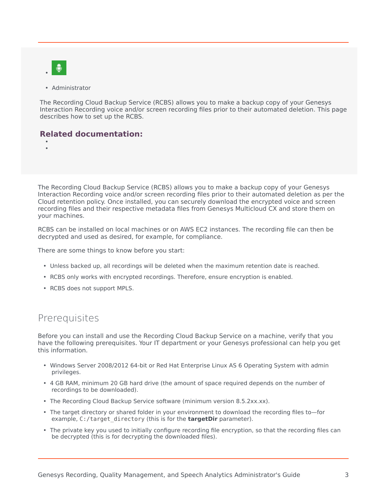

• Administrator

The Recording Cloud Backup Service (RCBS) allows you to make a backup copy of your Genesys Interaction Recording voice and/or screen recording files prior to their automated deletion. This page describes how to set up the RCBS.

## **Related documentation:**

• •

The Recording Cloud Backup Service (RCBS) allows you to make a backup copy of your Genesys Interaction Recording voice and/or screen recording files prior to their automated deletion as per the Cloud retention policy. Once installed, you can securely download the encrypted voice and screen recording files and their respective metadata files from Genesys Multicloud CX and store them on your machines.

RCBS can be installed on local machines or on AWS EC2 instances. The recording file can then be decrypted and used as desired, for example, for compliance.

There are some things to know before you start:

- Unless backed up, all recordings will be deleted when the maximum retention date is reached.
- RCBS only works with encrypted recordings. Therefore, ensure encryption is enabled.
- RCBS does not support MPLS.

## <span id="page-2-0"></span>Prerequisites

Before you can install and use the Recording Cloud Backup Service on a machine, verify that you have the following prerequisites. Your IT department or your Genesys professional can help you get this information.

- Windows Server 2008/2012 64-bit or Red Hat Enterprise Linux AS 6 Operating System with admin privileges.
- 4 GB RAM, minimum 20 GB hard drive (the amount of space required depends on the number of recordings to be downloaded).
- The Recording Cloud Backup Service software (minimum version 8.5.2xx.xx).
- The target directory or shared folder in your environment to download the recording files to—for example, C:/target\_directory (this is for the **targetDir** parameter).
- The private key you used to initially configure recording file encryption, so that the recording files can be decrypted (this is for decrypting the downloaded files).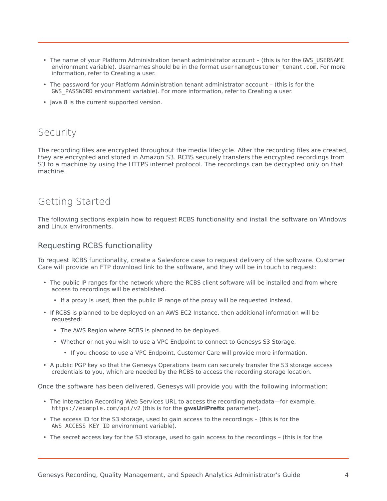- The name of your Platform Administration tenant administrator account (this is for the GWS\_USERNAME environment variable). Usernames should be in the format username@customer\_tenant.com. For more information, refer to Creating a user.
- The password for your Platform Administration tenant administrator account (this is for the GWS PASSWORD environment variable). For more information, refer to Creating a user.
- Java 8 is the current supported version.

## <span id="page-3-0"></span>Security

The recording files are encrypted throughout the media lifecycle. After the recording files are created, they are encrypted and stored in Amazon S3. RCBS securely transfers the encrypted recordings from S3 to a machine by using the HTTPS internet protocol. The recordings can be decrypted only on that machine.

## <span id="page-3-1"></span>Getting Started

The following sections explain how to request RCBS functionality and install the software on Windows and Linux environments.

## <span id="page-3-2"></span>Requesting RCBS functionality

To request RCBS functionality, create a Salesforce case to request delivery of the software. Customer Care will provide an FTP download link to the software, and they will be in touch to request:

- The public IP ranges for the network where the RCBS client software will be installed and from where access to recordings will be established.
	- If a proxy is used, then the public IP range of the proxy will be requested instead.
- If RCBS is planned to be deployed on an AWS EC2 Instance, then additional information will be requested:
	- The AWS Region where RCBS is planned to be deployed.
	- Whether or not you wish to use a VPC Endpoint to connect to Genesys S3 Storage.
		- If you choose to use a VPC Endpoint, Customer Care will provide more information.
- A public PGP key so that the Genesys Operations team can securely transfer the S3 storage access credentials to you, which are needed by the RCBS to access the recording storage location.

Once the software has been delivered, Genesys will provide you with the following information:

- The Interaction Recording Web Services URL to access the recording metadata—for example, https://example.com/api/v2 (this is for the **gwsUriPrefix** parameter).
- The access ID for the S3 storage, used to gain access to the recordings (this is for the AWS ACCESS KEY ID environment variable).
- The secret access key for the S3 storage, used to gain access to the recordings (this is for the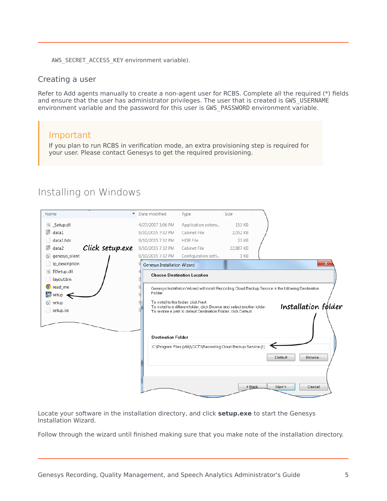AWS\_SECRET\_ACCESS\_KEY environment variable).

#### <span id="page-4-0"></span>Creating a user

Refer to Add agents manually to create a non-agent user for RCBS. Complete all the required (\*) fields and ensure that the user has administrator privileges. The user that is created is GWS\_USERNAME environment variable and the password for this user is GWS\_PASSWORD environment variable.

## Important

If you plan to run RCBS in verification mode, an extra provisioning step is required for your user. Please contact Genesys to get the required provisioning.

| Name                     | Date modified                      | Type                                                                                                                | <b>Size</b> |                                                                                                      |
|--------------------------|------------------------------------|---------------------------------------------------------------------------------------------------------------------|-------------|------------------------------------------------------------------------------------------------------|
| Setup.dll                | 4/27/2007 1:06 PM                  | Application extens                                                                                                  | 153 KB      |                                                                                                      |
| data1                    | 9/10/2015 7:32 PM                  | <b>Cabinet File</b>                                                                                                 | 2,052 KB    |                                                                                                      |
| data1.hdr                | 9/10/2015 7:32 PM                  | <b>HDR File</b>                                                                                                     | 23 KB       |                                                                                                      |
| Click setup.exe<br>data2 | 9/10/2015 7:32 PM                  | <b>Cabinet File</b>                                                                                                 | 22,887 KB   |                                                                                                      |
| genesys_silent           | 9/10/2015 7:32 PM                  | Configuration setti                                                                                                 | 1 KB        |                                                                                                      |
| ip_description           | <b>Genesys Installation Wizard</b> |                                                                                                                     |             | $\mathbf{x}$                                                                                         |
| SSetup.dll               |                                    | <b>Choose Destination Location</b>                                                                                  |             |                                                                                                      |
| layout.bin               |                                    |                                                                                                                     |             |                                                                                                      |
| <b>O</b> read_me         |                                    |                                                                                                                     |             | Genesys Installation Wizard will install Recording Cloud Backup Service in the following Destination |
| $\frac{4}{3}$ setup      | Folder.                            |                                                                                                                     |             |                                                                                                      |
| setup                    |                                    | To install to this folder, click Next.<br>To install to a different folder, click Browse and select another folder. |             | Installation folder                                                                                  |
| $\Box$ setup.iss         |                                    | To restore a path to default Destination Folder, click Default.                                                     |             |                                                                                                      |
|                          | <b>Destination Folder</b>          |                                                                                                                     |             |                                                                                                      |
|                          |                                    | C:\Program Files (x86)\GCTI\Recording Cloud Backup Service (1)                                                      |             |                                                                                                      |
|                          |                                    |                                                                                                                     |             | Default<br>Browse                                                                                    |
|                          |                                    |                                                                                                                     |             |                                                                                                      |
|                          |                                    |                                                                                                                     |             |                                                                                                      |

<span id="page-4-1"></span>Installing on Windows

Locate your software in the installation directory, and click **setup.exe** to start the Genesys Installation Wizard.

Follow through the wizard until finished making sure that you make note of the installation directory.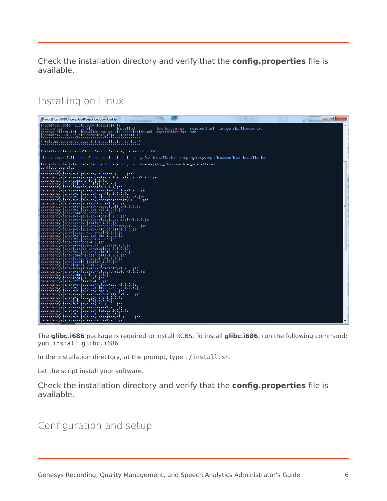Check the installation directory and verify that the **config.properties** file is available.

Installing on Linux

<span id="page-5-0"></span>

The **glibc.i686** package is required to install RCBS. To install **glibc.i686**, run the following command: yum install glibc.i686

In the installation directory, at the prompt, type ./install.sh.

Let the script install your software.

Check the installation directory and verify that the **config.properties** file is available.

## <span id="page-5-1"></span>Configuration and setup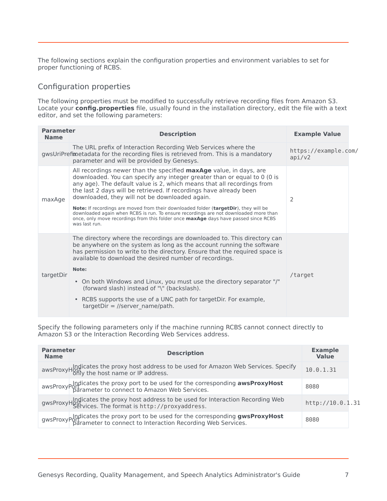The following sections explain the configuration properties and environment variables to set for proper functioning of RCBS.

## <span id="page-6-0"></span>Configuration properties

The following properties must be modified to successfully retrieve recording files from Amazon S3. Locate your **config.properties** file, usually found in the installation directory, edit the file with a text editor, and set the following parameters:

| <b>Parameter</b><br><b>Name</b> | <b>Description</b>                                                                                                                                                                                                                                                                                                                                                                                                                                                                                                                                                                                                                                     | <b>Example Value</b>           |
|---------------------------------|--------------------------------------------------------------------------------------------------------------------------------------------------------------------------------------------------------------------------------------------------------------------------------------------------------------------------------------------------------------------------------------------------------------------------------------------------------------------------------------------------------------------------------------------------------------------------------------------------------------------------------------------------------|--------------------------------|
|                                 | The URL prefix of Interaction Recording Web Services where the<br>gwsUriPrefimetadata for the recording files is retrieved from. This is a mandatory<br>parameter and will be provided by Genesys.                                                                                                                                                                                                                                                                                                                                                                                                                                                     | https://example.com/<br>api/v2 |
| maxAge                          | All recordings newer than the specified <b>maxAge</b> value, in days, are<br>downloaded. You can specify any integer greater than or equal to 0 (0 is<br>any age). The default value is 2, which means that all recordings from<br>the last 2 days will be retrieved. If recordings have already been<br>downloaded, they will not be downloaded again.<br>Note: If recordings are moved from their downloaded folder (targetDir), they will be<br>downloaded again when RCBS is run. To ensure recordings are not downloaded more than<br>once, only move recordings from this folder once <b>maxAge</b> days have passed since RCBS<br>was last run. | $\mathcal{P}$                  |
| targetDir                       | The directory where the recordings are downloaded to. This directory can<br>be anywhere on the system as long as the account running the software<br>has permission to write to the directory. Ensure that the required space is<br>available to download the desired number of recordings.<br>Note:<br>• On both Windows and Linux, you must use the directory separator "/"<br>(forward slash) instead of "\" (backslash).<br>• RCBS supports the use of a UNC path for targetDir. For example,<br>$targetDir = //server_name/path.$                                                                                                                 | /target                        |

Specify the following parameters only if the machine running RCBS cannot connect directly to Amazon S3 or the Interaction Recording Web Services address.

| <b>Parameter</b><br><b>Name</b> | <b>Description</b>                                                                                                                                     | <b>Example</b><br><b>Value</b> |  |
|---------------------------------|--------------------------------------------------------------------------------------------------------------------------------------------------------|--------------------------------|--|
|                                 | awsProxyHost cates the proxy host address to be used for Amazon Web Services. Specify<br>awsProxyHost the host name or IP address.                     | 10.0.1.31                      |  |
|                                 | awsProxy and icates the proxy port to be used for the corresponding awsProxyHost<br>awsProxyHost parameter to connect to Amazon Web Services.          | 8080                           |  |
|                                 | gwsProxyHpstrates the proxy host address to be used for Interaction Recording Web<br>gwsProxyHpstrates. The format is http://proxyaddress.             | http://10.0.1.31               |  |
|                                 | gwsProxypolicates the proxy port to be used for the corresponding gwsProxyHost<br>gwsProxyPotrameter to connect to Interaction Recording Web Services. | 8080                           |  |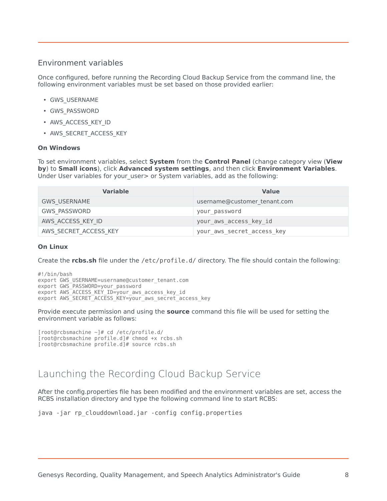## <span id="page-7-0"></span>Environment variables

Once configured, before running the Recording Cloud Backup Service from the command line, the following environment variables must be set based on those provided earlier:

- GWS\_USERNAME
- GWS\_PASSWORD
- AWS\_ACCESS\_KEY\_ID
- AWS SECRET ACCESS KEY

#### **On Windows**

To set environment variables, select **System** from the **Control Panel** (change category view (**View by**) to **Small icons**), click **Advanced system settings**, and then click **Environment Variables**. Under User variables for your user> or System variables, add as the following:

| <b>Variable</b>       | <b>Value</b>                 |
|-----------------------|------------------------------|
| <b>GWS USERNAME</b>   | username@customer_tenant.com |
| <b>GWS PASSWORD</b>   | your password                |
| AWS ACCESS KEY ID     | your aws access key id       |
| AWS SECRET ACCESS KEY | your_aws_secret_access_key   |

#### **On Linux**

Create the **rcbs.sh** file under the /etc/profile.d/ directory. The file should contain the following:

#!/bin/bash export GWS USERNAME=username@customer\_tenant.com export GWS<sup>-</sup>PASSWORD=your password export AWS ACCESS KEY ID=your aws access key id export AWS\_SECRET\_ACCESS\_KEY=your\_aws\_secret\_access\_key

Provide execute permission and using the **source** command this file will be used for setting the environment variable as follows:

```
[root@rcbsmachine ~]# cd /etc/profile.d/
[root@rcbsmachine profile.d]# chmod +x rcbs.sh
[root@rcbsmachine profile.d]# source rcbs.sh
```
## <span id="page-7-1"></span>Launching the Recording Cloud Backup Service

After the config.properties file has been modified and the environment variables are set, access the RCBS installation directory and type the following command line to start RCBS:

```
java -jar rp_clouddownload.jar -config config.properties
```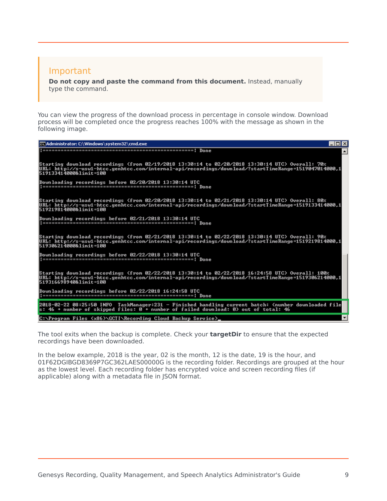## Important

**Do not copy and paste the command from this document.** Instead, manually type the command.

You can view the progress of the download process in percentage in console window. Download process will be completed once the progress reaches 100% with the message as shown in the following image.

| ca Administrator: C:\Windows\system32\cmd.exe                                                                                                                                                                                      | LI⊡I× |
|------------------------------------------------------------------------------------------------------------------------------------------------------------------------------------------------------------------------------------|-------|
|                                                                                                                                                                                                                                    |       |
| Starting download recordings (from 02/19/2018 13:30:14 to 02/20/2018 13:30:14 UTC) Overall: 70%<br>URL: http://s-usw1-htcc.genhtcc.com/internal-api/recordings/download/?startTimeRange=1519047014000,1<br>519133414000&limit=100  |       |
| Downloading recordings before 02/20/2018 13:30:14 UTC                                                                                                                                                                              |       |
| Starting download recordings (from 02/20/2018 13:30:14 to 02/21/2018 13:30:14 UTC) Overall: 80%<br> URL: http://s-usw1-htcc.genhtcc.com/internal-api/recordings/download/?startTimeRange=1519133414000,1<br>519219814000&limit=100 |       |
| Downloading recordings before 02/21/2018 13:30:14 UTC                                                                                                                                                                              |       |
| Starting download recordings (from 02/21/2018 13:30:14 to 02/22/2018 13:30:14 UTC) Overall: 90%<br>URL: http://s-usw1-htcc.genhtcc.com/internal-api/recordings/download/?startTimeRange=1519219814000.1<br>519306214000&limit=100  |       |
| Downloading recordings before 02/22/2018 13:30:14 UTC                                                                                                                                                                              |       |
| Starting download recordings (from 02/22/2018 13:30:14 to 02/22/2018 16:24:58 UTC) Overall: 100%<br>URL: http://s-usw1-htcc.genhtcc.com/internal-api/recordings/download/?startTimeRange=1519306214000.1<br>519316698940&limit=100 |       |
| Downloading recordings before 02/22/2018 16:24:58 UTC                                                                                                                                                                              |       |
| 2018-02-22 08:25:50 INFO TaskManager:231 - Finished handling current batch: (number downloaded file<br>s: 46 + number of skipped files: $\emptyset$ + number of failed download: $\emptyset$ out of total: 46                      |       |
| C:\Program Files (x86)\GCTI\Recording Cloud Backup Service>                                                                                                                                                                        |       |

The tool exits when the backup is complete. Check your **targetDir** to ensure that the expected recordings have been downloaded.

In the below example, 2018 is the year, 02 is the month, 12 is the date, 19 is the hour, and 01F62DGIBGD8369P7GC362LAES00000G is the recording folder. Recordings are grouped at the hour as the lowest level. Each recording folder has encrypted voice and screen recording files (if applicable) along with a metadata file in JSON format.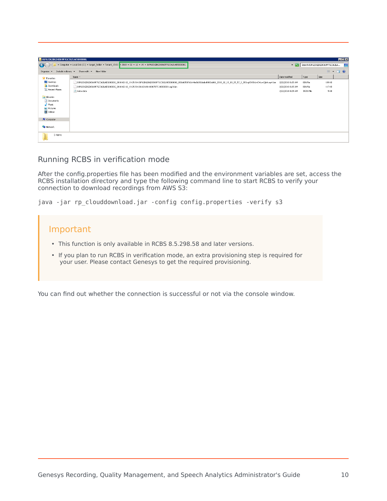| 01F62DGIBGD8369P7GC362LAE500000G           |                                                                                                                                                                           |                   |                 |                                      | EDX                     |
|--------------------------------------------|---------------------------------------------------------------------------------------------------------------------------------------------------------------------------|-------------------|-----------------|--------------------------------------|-------------------------|
| G                                          | · Computer · Local Disk (C:) · target_folder · Tenant_19-01 / 2018 · 02 · 12 · 19 · 01F62DGIBGD8369P7GC362LAE500000G                                                      |                   |                 | - 32 Search 01F62DGIBGD8369P7GC362LA | 9                       |
| Organize<br>$\blacktriangledown$           | Include in library v Share with v New folder                                                                                                                              |                   |                 |                                      | $\equiv -\Box$ $\theta$ |
| <b>X</b> Favorites                         | Name -                                                                                                                                                                    | Date modified     | Type            | Size                                 |                         |
| Desktop                                    | 01F62DGIBGD8369P7GC362LAE500000G_2018-02-12_19-25-54-01F62DGIBGD8369P7GC362LAE500000G_800d6050760c44e8b092dabd8002a066_2018_02_12_19_25_57_5_355vgKSVSkUnCWywCjbA.mp4.bin | 2/22/2018 8:25 AM | BIN File        | 189 KB                               |                         |
| Downloads                                  | 01F62DGIBGD8369P7GC362LAES00000G_2018-02-12_19-25-54-011601A8-10007B7C-00000001.mp3.bin                                                                                   | 2/22/2018 8:25 AM | <b>BIN File</b> | 117 KB                               |                         |
| Recent Places                              | meta-data                                                                                                                                                                 | 2/22/2018 8:25 AM | JSON File       | 5 KB                                 |                         |
| Libraries                                  |                                                                                                                                                                           |                   |                 |                                      |                         |
| Documents                                  |                                                                                                                                                                           |                   |                 |                                      |                         |
| Music                                      |                                                                                                                                                                           |                   |                 |                                      |                         |
| $\blacksquare$ Pictures<br><b>H</b> videos |                                                                                                                                                                           |                   |                 |                                      |                         |
|                                            |                                                                                                                                                                           |                   |                 |                                      |                         |
| Computer                                   |                                                                                                                                                                           |                   |                 |                                      |                         |
| <b>Ciu</b> Network                         |                                                                                                                                                                           |                   |                 |                                      |                         |
| 3 items                                    |                                                                                                                                                                           |                   |                 |                                      |                         |

## <span id="page-9-0"></span>Running RCBS in verification mode

After the config.properties file has been modified and the environment variables are set, access the RCBS installation directory and type the following command line to start RCBS to verify your connection to download recordings from AWS S3:

java -jar rp\_clouddownload.jar -config config.properties -verify s3



You can find out whether the connection is successful or not via the console window.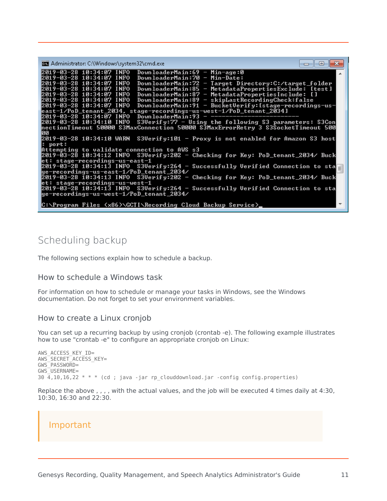| <b>Bill</b> Administrator: C:\Windows\system32\cmd.exe                                                                                                                                                                                                                                                                                                                                                                                                                                                                                                                                                                           |  |
|----------------------------------------------------------------------------------------------------------------------------------------------------------------------------------------------------------------------------------------------------------------------------------------------------------------------------------------------------------------------------------------------------------------------------------------------------------------------------------------------------------------------------------------------------------------------------------------------------------------------------------|--|
| 12019-03-28 10:34:07 INFO<br>DownloaderMain:69 - Min-age:0<br>DownloaderMain:70 - Min-Date:<br>2019-03-28 10:34:07 INFO<br>2019-03-28 10:34:07 INFO<br>DownloaderMain:72 - Target Directory:C:/target_folder<br>2019-03-28 10:34:07 INFO<br>DownloaderMain:85 - MetadataPropertiesExclude: [test]<br>2019-03-28 10:34:07 INFO<br>DownloaderMain:87 - MetadataPropertiesInclude: []<br>2019-03-28 10:34:07 INFO<br>DownloaderMain:89 - skipLastRecordingCheck:false<br>DownloaderMain:91 - BucketVerify:[stage-recordings-us-<br>2019-03-28 10:34:07 INFO<br> east-1/PoD_tenant_2034, stage-recordings-us-west-1/PoD_tenant_2034] |  |
| DownloaderMain:93<br>2019-03-28 10:34:07 INFO<br>S3Uerify:77 - Using the following S3 parameters: S3Con<br>2019-03-28 10:34:10 INFO<br>nectionTimeout 50000 S3MaxConnection 50000 S3MaxErrorRetry 3 S3SocketTimeout 500<br>ЙЙ<br>2019-03-28 10:34:10 WARN  S3Uerify:101 — Proxy is not enabled for Amazon S3 host<br>$:$ port:                                                                                                                                                                                                                                                                                                   |  |
| Attempting to validate connection to AWS s3<br>2019-03-28 10:34:12 INFO S3Uerify:202 - Checking for Key: PoD_tenant_2034/ Buck<br>et: stage-recordings-us-east-1<br>2019-03-28 10:34:13 INFO S3Uerify:264 - Successfully Uerified Connection to sta<br> ge-recordings-us-east-1/PoD_tenant_2034/                                                                                                                                                                                                                                                                                                                                 |  |
| 2019-03-28 10:34:13 INFO S3Uerify:202 - Checking for Key: PoD_tenant_2034/ Buck<br>et: stage-recordings-us-west-1<br>2019-03-28 10:34:13 INFO S3Uerify:264 - Successfully Uerified Connection to sta<br> ge-recordings-us-west-1/PoD_tenant_2034/<br> C:\Program Files (x86)\GCTI\Recording Cloud Backup Service>_                                                                                                                                                                                                                                                                                                               |  |

## <span id="page-10-0"></span>Scheduling backup

The following sections explain how to schedule a backup.

#### <span id="page-10-1"></span>How to schedule a Windows task

For information on how to schedule or manage your tasks in Windows, see the Windows documentation. Do not forget to set your environment variables.

#### <span id="page-10-2"></span>How to create a Linux cronjob

You can set up a recurring backup by using cronjob (crontab -e). The following example illustrates how to use "crontab -e" to configure an appropriate cronjob on Linux:

```
AWS_ACCESS_KEY_ID=
AWS_SECRET_ACCESS_KEY=
GWS_PASSWORD=
GWS_USERNAME=
30\overline{4}, 10, 16, 22 * * * (cd; java -jar rp clouddownload.jar -config config.properties)
```
Replace the above , , , , with the actual values, and the job will be executed 4 times daily at 4:30, 10:30, 16:30 and 22:30.

## Important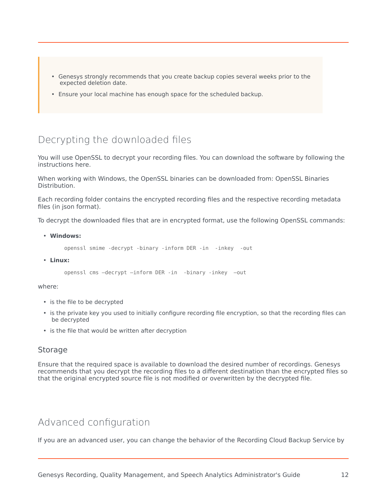- Genesys strongly recommends that you create backup copies several weeks prior to the expected deletion date.
- Ensure your local machine has enough space for the scheduled backup.

## <span id="page-11-0"></span>Decrypting the downloaded files

You will use OpenSSL to decrypt your recording files. You can download the software by following the instructions here.

When working with Windows, the OpenSSL binaries can be downloaded from: OpenSSL Binaries Distribution.

Each recording folder contains the encrypted recording files and the respective recording metadata files (in json format).

To decrypt the downloaded files that are in encrypted format, use the following OpenSSL commands:

• **Windows:**

openssl smime -decrypt -binary -inform DER -in -inkey -out

• **Linux:**

openssl cms –decrypt –inform DER -in -binary -inkey –out

where:

- is the file to be decrypted
- is the private key you used to initially configure recording file encryption, so that the recording files can be decrypted
- is the file that would be written after decryption

#### <span id="page-11-1"></span>**Storage**

Ensure that the required space is available to download the desired number of recordings. Genesys recommends that you decrypt the recording files to a different destination than the encrypted files so that the original encrypted source file is not modified or overwritten by the decrypted file.

## <span id="page-11-2"></span>Advanced configuration

If you are an advanced user, you can change the behavior of the Recording Cloud Backup Service by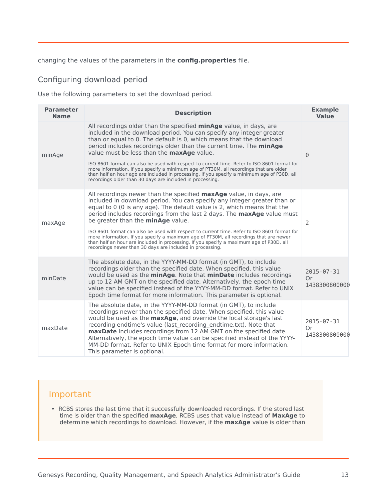#### changing the values of the parameters in the **config.properties** file.

## <span id="page-12-0"></span>Configuring download period

Use the following parameters to set the download period.

| <b>Parameter</b><br><b>Name</b> | <b>Description</b>                                                                                                                                                                                                                                                                                                                                                                                                                                                                                                                                                                                                                                                                                             | <b>Example</b><br><b>Value</b>          |
|---------------------------------|----------------------------------------------------------------------------------------------------------------------------------------------------------------------------------------------------------------------------------------------------------------------------------------------------------------------------------------------------------------------------------------------------------------------------------------------------------------------------------------------------------------------------------------------------------------------------------------------------------------------------------------------------------------------------------------------------------------|-----------------------------------------|
| minAge                          | All recordings older than the specified minAge value, in days, are<br>included in the download period. You can specify any integer greater<br>than or equal to 0. The default is 0, which means that the download<br>period includes recordings older than the current time. The minAge<br>value must be less than the maxAge value.<br>ISO 8601 format can also be used with respect to current time. Refer to ISO 8601 format for<br>more information. If you specify a minimum age of PT30M, all recordings that are older<br>than half an hour ago are included in processing. If you specify a minimum age of P30D, all<br>recordings older than 30 days are included in processing.                      | $\Theta$                                |
| maxAge                          | All recordings newer than the specified <b>maxAge</b> value, in days, are<br>included in download period. You can specify any integer greater than or<br>equal to 0 (0 is any age). The default value is 2, which means that the<br>period includes recordings from the last 2 days. The <b>maxAge</b> value must<br>be greater than the <b>minAge</b> value.<br>ISO 8601 format can also be used with respect to current time. Refer to ISO 8601 format for<br>more information. If you specify a maximum age of PT30M, all recordings that are newer<br>than half an hour are included in processing. If you specify a maximum age of P30D, all<br>recordings newer than 30 days are included in processing. | $\mathcal{P}$                           |
| minDate                         | The absolute date, in the YYYY-MM-DD format (in GMT), to include<br>recordings older than the specified date. When specified, this value<br>would be used as the minAge. Note that minDate includes recordings<br>up to 12 AM GMT on the specified date. Alternatively, the epoch time<br>value can be specified instead of the YYYY-MM-DD format. Refer to UNIX<br>Epoch time format for more information. This parameter is optional.                                                                                                                                                                                                                                                                        | $2015 - 07 - 31$<br>0r<br>1438300800000 |
| maxDate                         | The absolute date, in the YYYY-MM-DD format (in GMT), to include<br>recordings newer than the specified date. When specified, this value<br>would be used as the maxAge, and override the local storage's last<br>recording endtime's value (last recording endtime.txt). Note that<br>maxDate includes recordings from 12 AM GMT on the specified date.<br>Alternatively, the epoch time value can be specified instead of the YYYY-<br>MM-DD format. Refer to UNIX Epoch time format for more information.<br>This parameter is optional.                                                                                                                                                                    | $2015 - 07 - 31$<br>Or<br>1438300800000 |

## Important

• RCBS stores the last time that it successfully downloaded recordings. If the stored last time is older than the specified **maxAge**, RCBS uses that value instead of **MaxAge** to determine which recordings to download. However, if the **maxAge** value is older than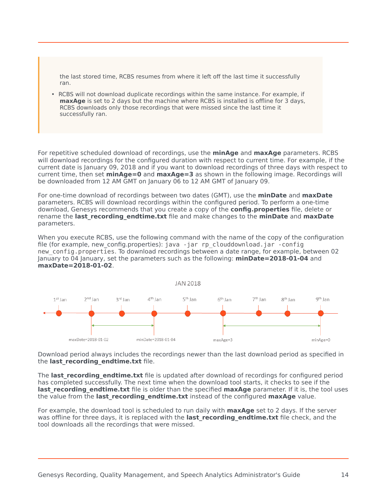the last stored time, RCBS resumes from where it left off the last time it successfully ran.

• RCBS will not download duplicate recordings within the same instance. For example, if **maxAge** is set to 2 days but the machine where RCBS is installed is offline for 3 days, RCBS downloads only those recordings that were missed since the last time it successfully ran.

For repetitive scheduled download of recordings, use the **minAge** and **maxAge** parameters. RCBS will download recordings for the configured duration with respect to current time. For example, if the current date is January 09, 2018 and if you want to download recordings of three days with respect to current time, then set **minAge=0** and **maxAge=3** as shown in the following image. Recordings will be downloaded from 12 AM GMT on January 06 to 12 AM GMT of January 09.

For one-time download of recordings between two dates (GMT), use the **minDate** and **maxDate** parameters. RCBS will download recordings within the configured period. To perform a one-time download, Genesys recommends that you create a copy of the **config.properties** file, delete or rename the **last\_recording\_endtime.txt** file and make changes to the **minDate** and **maxDate** parameters.

When you execute RCBS, use the following command with the name of the copy of the configuration file (for example, new\_config.properties): java -jar rp\_clouddownload.jar -config new\_config.properties. To download recordings between a date range, for example, between 02 January to 04 January, set the parameters such as the following: **minDate=2018-01-04** and **maxDate=2018-01-02**.



Download period always includes the recordings newer than the last download period as specified in the **last\_recording\_endtime.txt** file.

The **last recording endtime.txt** file is updated after download of recordings for configured period has completed successfully. The next time when the download tool starts, it checks to see if the **last\_recording\_endtime.txt** file is older than the specified **maxAge** parameter. If it is, the tool uses the value from the **last\_recording\_endtime.txt** instead of the configured **maxAge** value.

For example, the download tool is scheduled to run daily with **maxAge** set to 2 days. If the server was offline for three days, it is replaced with the **last recording endtime.txt** file check, and the tool downloads all the recordings that were missed.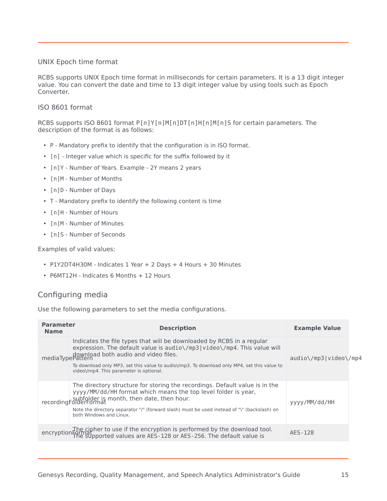#### UNIX Epoch time format

RCBS supports UNIX Epoch time format in milliseconds for certain parameters. It is a 13 digit integer value. You can convert the date and time to 13 digit integer value by using tools such as Epoch Converter.

#### ISO 8601 format

RCBS supports ISO 8601 format P[n]Y[n]M[n]DT[n]H[n]M[n]S for certain parameters. The description of the format is as follows:

- P Mandatory prefix to identify that the configuration is in ISO format.
- [n] Integer value which is specific for the suffix followed by it
- [n]Y Number of Years. Example 2Y means 2 years
- [n]M Number of Months
- [n]D Number of Days
- T Mandatory prefix to identify the following content is time
- [n]H Number of Hours
- [n]M Number of Minutes
- [n]S Number of Seconds

Examples of valid values:

- P1Y2DT4H30M Indicates 1 Year + 2 Days + 4 Hours + 30 Minutes
- P6MT12H Indicates 6 Months + 12 Hours

## <span id="page-14-0"></span>Configuring media

Use the following parameters to set the media configurations.

| <b>Parameter</b><br><b>Name</b> | <b>Description</b>                                                                                                                                                                                                                                                                                                                   | <b>Example Value</b>  |  |
|---------------------------------|--------------------------------------------------------------------------------------------------------------------------------------------------------------------------------------------------------------------------------------------------------------------------------------------------------------------------------------|-----------------------|--|
|                                 | Indicates the file types that will be downloaded by RCBS in a regular<br>expression. The default value is audio\/mp3 video\/mp4. This value will<br>download both audio and video files.<br>To download only MP3, set this value to audio \/mp3. To download only MP4, set this value to<br>video / mp4. This parameter is optional. | audio\/mp3 video\/mp4 |  |
|                                 | The directory structure for storing the recordings. Default value is in the<br>yyyy/MM/dd/HH format which means the top level folder is year,<br>subfolder is month, then date, then hour.<br>Note the directory separator "/" (forward slash) must be used instead of "\" (backslash) on<br>both Windows and Linux.                 | yyyy/MM/dd/HH         |  |
|                                 | The cipher to use if the encryption is performed by the download tool.<br>encryption Format Supported values are AES-128 or AES-256. The default value is                                                                                                                                                                            | AES-128               |  |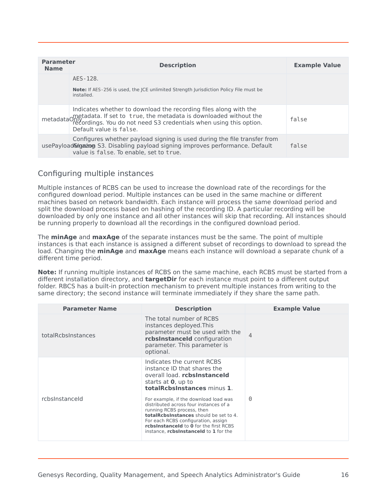| <b>Parameter</b><br><b>Name</b> | <b>Description</b>                                                                                                                                                                                                                                                 | <b>Example Value</b> |
|---------------------------------|--------------------------------------------------------------------------------------------------------------------------------------------------------------------------------------------------------------------------------------------------------------------|----------------------|
|                                 | AES-128.                                                                                                                                                                                                                                                           |                      |
|                                 | <b>Note:</b> If AES-256 is used, the ICE unlimited Strength Jurisdiction Policy File must be<br>installed.                                                                                                                                                         |                      |
|                                 | Indicates whether to download the recording files along with the<br>metadata ometadata. If set to true, the metadata is downloaded without the<br>metadata originary recordings. You do not need S3 credentials when using this option.<br>Default value is false. | false                |
|                                 | Configures whether payload signing is used during the file transfer from<br>usePayloadSingaizog S3. Disabling payload signing improves performance. Default<br>value is false. To enable, set to true.                                                             | false                |

## <span id="page-15-0"></span>Configuring multiple instances

Multiple instances of RCBS can be used to increase the download rate of the recordings for the configured download period. Multiple instances can be used in the same machine or different machines based on network bandwidth. Each instance will process the same download period and split the download process based on hashing of the recording ID. A particular recording will be downloaded by only one instance and all other instances will skip that recording. All instances should be running properly to download all the recordings in the configured download period.

The **minAge** and **maxAge** of the separate instances must be the same. The point of multiple instances is that each instance is assigned a different subset of recordings to download to spread the load. Changing the **minAge** and **maxAge** means each instance will download a separate chunk of a different time period.

**Note:** If running multiple instances of RCBS on the same machine, each RCBS must be started from a different installation directory, and **targetDir** for each instance must point to a different output folder. RBCS has a built-in protection mechanism to prevent multiple instances from writing to the same directory; the second instance will terminate immediately if they share the same path.

| <b>Parameter Name</b> | <b>Description</b>                                                                                                                                                                                                                                                                       | <b>Example Value</b> |
|-----------------------|------------------------------------------------------------------------------------------------------------------------------------------------------------------------------------------------------------------------------------------------------------------------------------------|----------------------|
| totalRcbsInstances    | The total number of RCBS<br>instances deployed. This<br>parameter must be used with the<br>rcbsInstanceId configuration<br>parameter. This parameter is<br>optional.                                                                                                                     | $\overline{4}$       |
|                       | Indicates the current RCBS<br>instance ID that shares the<br>overall load. rcbsInstanceId<br>starts at <b>0</b> , up to<br>totalRcbsInstances minus 1.                                                                                                                                   |                      |
| rchsInstanceId        | For example, if the download load was<br>distributed across four instances of a<br>running RCBS process, then<br>totalRcbsInstances should be set to 4.<br>For each RCBS configuration, assign<br>rcbsInstanceId to 0 for the first RCBS<br>instance, <i>rcbsInstanceId</i> to 1 for the | 0                    |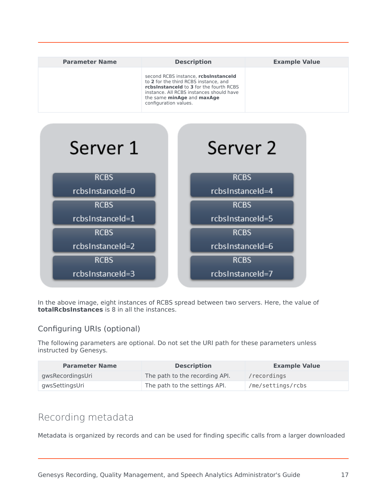| <b>Parameter Name</b> | <b>Description</b>                                                                                                                                                                                                          | <b>Example Value</b> |
|-----------------------|-----------------------------------------------------------------------------------------------------------------------------------------------------------------------------------------------------------------------------|----------------------|
|                       | second RCBS instance, rcbsInstanceId<br>to 2 for the third RCBS instance, and<br>rcbsInstanceId to 3 for the fourth RCBS<br>instance. All RCBS instances should have<br>the same minAge and maxAge<br>configuration values. |                      |



In the above image, eight instances of RCBS spread between two servers. Here, the value of **totalRcbsInstances** is 8 in all the instances.

## <span id="page-16-0"></span>Configuring URIs (optional)

The following parameters are optional. Do not set the URI path for these parameters unless instructed by Genesys.

| <b>Parameter Name</b> | <b>Description</b>             | <b>Example Value</b> |
|-----------------------|--------------------------------|----------------------|
| gwsRecordingsUri      | The path to the recording API. | /recordings          |
| gwsSettingsUri        | The path to the settings API.  | /me/settings/rcbs    |

## <span id="page-16-1"></span>Recording metadata

Metadata is organized by records and can be used for finding specific calls from a larger downloaded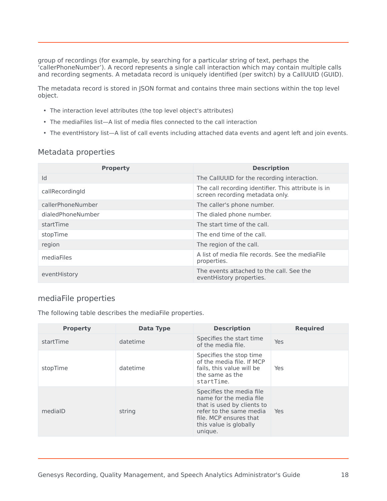group of recordings (for example, by searching for a particular string of text, perhaps the 'callerPhoneNumber'). A record represents a single call interaction which may contain multiple calls and recording segments. A metadata record is uniquely identified (per switch) by a CallUUID (GUID).

The metadata record is stored in JSON format and contains three main sections within the top level object.

- The interaction level attributes (the top level object's attributes)
- The mediaFiles list—A list of media files connected to the call interaction
- The eventHistory list—A list of call events including attached data events and agent left and join events.

## <span id="page-17-0"></span>Metadata properties

| <b>Property</b>   | <b>Description</b>                                                                     |
|-------------------|----------------------------------------------------------------------------------------|
| Id                | The CallUUID for the recording interaction.                                            |
| callRecordingId   | The call recording identifier. This attribute is in<br>screen recording metadata only. |
| callerPhoneNumber | The caller's phone number.                                                             |
| dialedPhoneNumber | The dialed phone number.                                                               |
| startTime         | The start time of the call.                                                            |
| stopTime          | The end time of the call.                                                              |
| region            | The region of the call.                                                                |
| mediaFiles        | A list of media file records. See the mediaFile<br>properties.                         |
| eventHistory      | The events attached to the call. See the<br>event History properties.                  |

## <span id="page-17-1"></span>mediaFile properties

The following table describes the mediaFile properties.

| <b>Property</b> | Data Type | <b>Description</b>                                                                                                                                                          | <b>Required</b> |
|-----------------|-----------|-----------------------------------------------------------------------------------------------------------------------------------------------------------------------------|-----------------|
| startTime       | datetime  | Specifies the start time<br>of the media file.                                                                                                                              | Yes             |
| stopTime        | datetime  | Specifies the stop time<br>of the media file. If MCP<br>fails, this value will be<br>the same as the<br>startTime.                                                          | Yes             |
| medialD         | string    | Specifies the media file<br>name for the media file<br>that is used by clients to<br>refer to the same media<br>file. MCP ensures that<br>this value is globally<br>unique. | Yes             |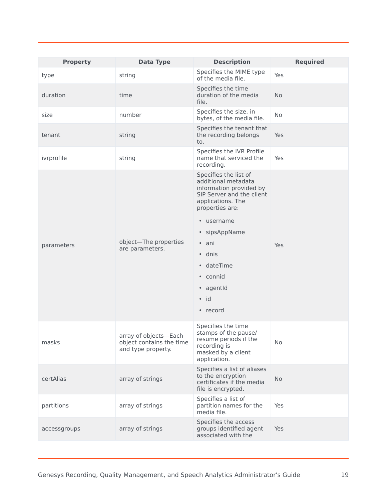| <b>Property</b> | <b>Data Type</b>                                                        | <b>Description</b>                                                                                                                           | <b>Required</b> |
|-----------------|-------------------------------------------------------------------------|----------------------------------------------------------------------------------------------------------------------------------------------|-----------------|
| type            | string                                                                  | Specifies the MIME type<br>of the media file.                                                                                                | Yes             |
| duration        | time                                                                    | Specifies the time<br>duration of the media<br>file.                                                                                         | <b>No</b>       |
| size            | number                                                                  | Specifies the size, in<br>bytes, of the media file.                                                                                          | <b>No</b>       |
| tenant          | string                                                                  | Specifies the tenant that<br>the recording belongs<br>to.                                                                                    | Yes             |
| ivrprofile      | string                                                                  | Specifies the IVR Profile<br>name that serviced the<br>recording.                                                                            | Yes             |
|                 |                                                                         | Specifies the list of<br>additional metadata<br>information provided by<br>SIP Server and the client<br>applications. The<br>properties are: |                 |
|                 |                                                                         | • username                                                                                                                                   |                 |
|                 |                                                                         | • sipsAppName                                                                                                                                |                 |
| parameters      | object-The properties<br>are parameters.                                | • ani                                                                                                                                        | Yes             |
|                 |                                                                         | $\cdot$ dnis                                                                                                                                 |                 |
|                 |                                                                         | · dateTime<br>• connid                                                                                                                       |                 |
|                 |                                                                         | • agentid                                                                                                                                    |                 |
|                 |                                                                         | $\bullet$ id                                                                                                                                 |                 |
|                 |                                                                         | • record                                                                                                                                     |                 |
|                 |                                                                         |                                                                                                                                              |                 |
| masks           | array of objects-Each<br>object contains the time<br>and type property. | Specifies the time<br>stamps of the pause/<br>resume periods if the<br>recording is<br>masked by a client<br>application.                    | No              |
| certAlias       | array of strings                                                        | Specifies a list of aliases<br>to the encryption<br>certificates if the media<br>file is encrypted.                                          | <b>No</b>       |
| partitions      | array of strings                                                        | Specifies a list of<br>partition names for the<br>media file.                                                                                | Yes             |
| accessgroups    | array of strings                                                        | Specifies the access<br>groups identified agent<br>associated with the                                                                       | Yes             |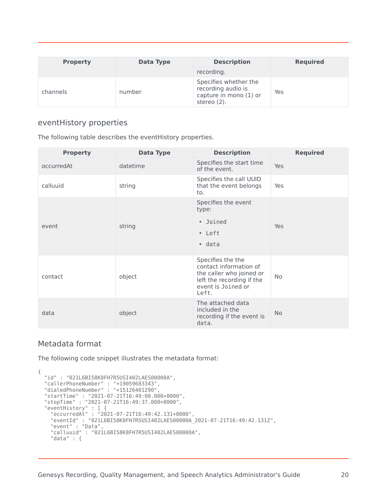| <b>Property</b> | Data Type | <b>Description</b>                                                                   | <b>Required</b> |
|-----------------|-----------|--------------------------------------------------------------------------------------|-----------------|
|                 |           | recording.                                                                           |                 |
| channels        | number    | Specifies whether the<br>recording audio is<br>capture in mono (1) or<br>stereo (2). | Yes             |

## <span id="page-19-0"></span>eventHistory properties

The following table describes the eventHistory properties.

| <b>Property</b> | <b>Data Type</b> | <b>Description</b>                                                                                                                  | <b>Required</b> |
|-----------------|------------------|-------------------------------------------------------------------------------------------------------------------------------------|-----------------|
| occurredAt      | datetime         | Specifies the start time<br>of the event.                                                                                           | Yes             |
| calluuid        | string           | Specifies the call UUID<br>that the event belongs<br>to.                                                                            | Yes             |
|                 |                  | Specifies the event<br>type:                                                                                                        |                 |
| event           | string           | • Joined                                                                                                                            | Yes             |
|                 |                  | • Left                                                                                                                              |                 |
|                 |                  | • data                                                                                                                              |                 |
| contact         | object           | Specifies the the<br>contact information of<br>the caller who joined or<br>left the recording if the<br>event is Joined or<br>Left. | <b>No</b>       |
| data            | object           | The attached data<br>included in the<br>recording if the event is<br>data.                                                          | <b>No</b>       |

## <span id="page-19-1"></span>Metadata format

The following code snippet illustrates the metadata format:

```
{
 "id" : "021L6BI58K8FH7R5USI402LAES00000A",
  "callerPhoneNumber" : "+19059683343",
  "dialedPhoneNumber" : "+15126401290",
 "startTime" : "2021-07-21T16:49:00.000+0000",
 "stopTime" : "2021-07-21T16:49:37.000+0000",
  "eventHistory" : [ {
    "occurredAt" : "2021-07-21T16:49:42.131+0000",
    "eventId" : "021L6BI58K8FH7R5USI402LAES00000A_2021-07-21T16:49:42.131Z",
    "event" : "Data",
    "calluuid" : "021L6BI58K8FH7R5USI402LAES00000A",
   "data" : {
```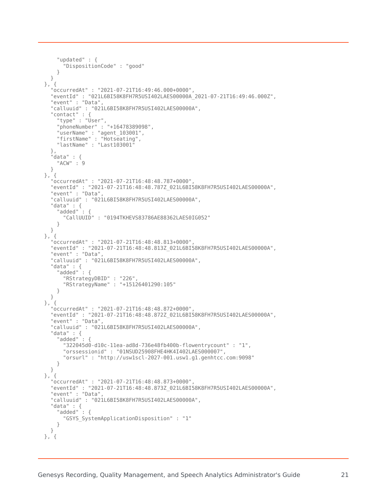```
"updated" : {
      "DispositionCode" : "good"
    }
 }<br>, {
\},
  "occurredAt" : "2021-07-21T16:49:46.000+0000",
  "eventId" : "021L6BI58K8FH7R5USI402LAES00000A_2021-07-21T16:49:46.000Z",
  "event" : "Data",
  "calluuid" : "021L6BI58K8FH7R5USI402LAES00000A",
  "contact" : {
    "type" : "User",
    "phoneNumber" : "+16478389098",
    "userName" : "agent_103001",
    "firstName" : "Hotseating",
    "lastName" : "Last103001"
  },
  "data" : {
    "ACW" : 9
 }
}, {
  "occurredAt" : "2021-07-21T16:48:48.787+0000",
  "eventId" : "2021-07-21T16:48:48.787Z_021L6BI58K8FH7R5USI402LAES00000A",
  "event" : "Data",
  "calluuid" : "021L6BI58K8FH7R5USI402LAES00000A",
  "data" : {
    "added" : {
      "CallUUID" : "0194TKHEVS83786AE88362LAES0IG052"
   }
  }
}, {
  "occurredAt" : "2021-07-21T16:48:48.813+0000",
  "eventId" : "2021-07-21T16:48:48.813Z_021L6BI58K8FH7R5USI402LAES00000A",
  "event" : "Data",
  "calluuid" : "021L6BI58K8FH7R5USI402LAES00000A",
  "data" : {
    "added" : {
      "RStrategyDBID" : "226",
      "RStrategyName" : "+15126401290:105"
   }
  }
}, {
  "occurredAt" : "2021-07-21T16:48:48.872+0000",
  "eventId" : "2021-07-21T16:48:48.872Z_021L6BI58K8FH7R5USI402LAES00000A",
  "event" : "Data",
  "calluuid" : "021L6BI58K8FH7R5USI402LAES00000A",
  "data" : {
    "added" : {
      "322045d0-d10c-11ea-ad8d-736e48fb400b-flowentrycount" : "1",
      "orssessionid" : "01NSUD25908FHE4HK4I402LAES000007",
      "orsurl" : "http://usw1scl-2027-001.usw1.g1.genhtcc.com:9098"
   }
 }
}, {
  "occurredAt" : "2021-07-21T16:48:48.873+0000",
  "eventId" : "2021-07-21T16:48:48.873Z_021L6BI58K8FH7R5USI402LAES00000A",
  "event" : "Data",
  "calluuid" : "021L6BI58K8FH7R5USI402LAES00000A",
  "data" : {
    "added" : {
      "GSYS_SystemApplicationDisposition" : "1"
   }
 }
}, {
```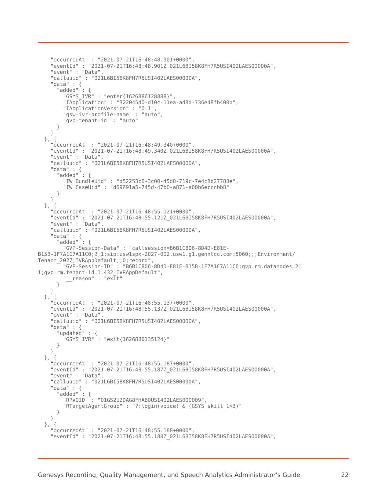```
"occurredAt" : "2021-07-21T16:48:48.901+0000",
    "eventId" : "2021-07-21T16:48:48.901Z_021L6BI58K8FH7R5USI402LAES00000A",
    "event" : "Data",
    "calluuid" : "021L6BI58K8FH7R5USI402LAES00000A",
    "data" : {
      "added" : {
        "GSYS_IVR" : "enter{1626886128888}",
        "IApplication" : "322045d0-d10c-11ea-ad8d-736e48fb400b",
        "IApplicationVersion" : "0.1",
        "gsw-ivr-profile-name" : "auto",
        "gvp-tenant-id" : "auto"
     }
   }
  }, {
    "occurredAt" : "2021-07-21T16:48:49.340+0000",
    "eventId" : "2021-07-21T16:48:49.340Z_021L6BI58K8FH7R5USI402LAES00000A",
    "event" : "Data",
    "calluuid" : "021L6BI58K8FH7R5USI402LAES00000A",
    "data" : {
       "added" : {
        "IW_BundleUid" : "d52253c6-3c00-45d8-719c-7e4c8b27788e",
        "IW_CaseUid" : "d69691a5-745d-47b0-a871-a00b6ecccbb8"
     }
   }
  }, {
    "occurredAt" : "2021-07-21T16:48:55.121+0000",
    "eventId" : "2021-07-21T16:48:55.121Z_021L6BI58K8FH7R5USI402LAES00000A",
    "event" : "Data",
    "calluuid" : "021L6BI58K8FH7R5USI402LAES00000A",
    "data" : {
      "added" : {
        "GVP-Session-Data" : "callsession=B6B1C806-8D4D-E81E-
B15B-1F7A1C7A11C0;2;1;sip:usw1spx-2027-002.usw1.g1.genhtcc.com:5060;;;Environment/
Tenant 2027; IVRAppDefault; ; 0; record",
        "GVP-Session-ID" : "B6B1C806-8D4D-E81E-B15B-1F7A1C7A11C0;gvp.rm.datanodes=2|
1;gvp.rm.tenant-id=1.432_IVRAppDefault",
         T reason" : "ex\overline{it}"
      }
    }
  }, {
    "occurredAt" : "2021-07-21T16:48:55.137+0000",
    "eventId" : "2021-07-21T16:48:55.137Z_021L6BI58K8FH7R5USI402LAES00000A",
    "event" : "Data",
    "calluuid" : "021L6BI58K8FH7R5USI402LAES00000A",
    "data" : {
      "updated" : {
        "GSYS_IVR" : "exit{1626886135124}"
     }
   }
  }, {
    "occurredAt" : "2021-07-21T16:48:55.187+0000",
    "eventId" : "2021-07-21T16:48:55.187Z_021L6BI58K8FH7R5USI402LAES00000A",
    "event" : "Data",
    "calluuid" : "021L6BI58K8FH7R5USI402LAES00000A",
    "data" : {
      "added" : {
        "RPVQID" : "01GS2U2DAG8FHABOUSI402LAES000009",
        "RTargetAgentGroup" : "?:login(voice) & (GSYS_skill_1>3)"
     }
   }
  }, {
    "occurredAt" : "2021-07-21T16:48:55.188+0000",
    "eventId" : "2021-07-21T16:48:55.188Z_021L6BI58K8FH7R5USI402LAES00000A",
```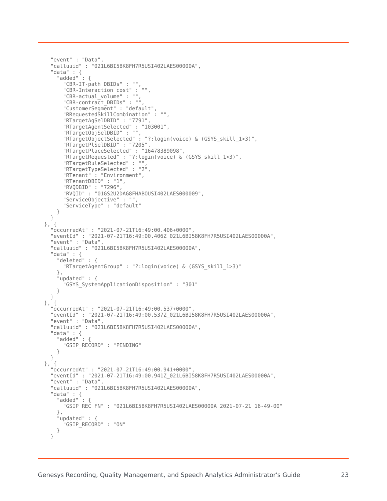```
"event" : "Data",
  "calluuid" : "021L6BI58K8FH7R5USI402LAES00000A",
  "data" : {
    "added" : {
      "CBR-IT-path_DBIDs" : "",
      "CBR-Interaction_cost" : "",
      "CBR-actual_volume" : "",
      "CBR-contract_DBIDs" : "",
      "CustomerSegment" : "default",
      "RRequestedSkillCombination" : "",
      "RTargetAgSelDBID" : "7791",
      "RTargetAgentSelected" : "103001",
      "RTargetObjSelDBID" : "",
      "RTargetObjectSelected" : "?:login(voice) & (GSYS_skill_1>3)",
      "RTargetPlSelDBID" : "7205",
      "RTargetPlaceSelected" : "16478389098",
      "RTargetRequested" : "?:login(voice) & (GSYS_skill_1>3)",
      "RTargetRuleSelected" : "",
      "RTargetTypeSelected" : "2",
      "RTenant" : "Environment",
      "RTenantDBID" : "1",
      "RVQDBID" : "7296",
      "RVQID" : "01GS2U2DAG8FHABOUSI402LAES000009",
      "ServiceObjective" : "",
     "ServiceType" : "default"
   }
 }
}, {
  "occurredAt" : "2021-07-21T16:49:00.406+0000",
  "eventId" : "2021-07-21T16:49:00.406Z_021L6BI58K8FH7R5USI402LAES00000A",
  "event" : "Data",
  "calluuid" : "021L6BI58K8FH7R5USI402LAES00000A",
  "data" : {
    "deleted" : {
      "RTargetAgentGroup" : "?:login(voice) & (GSYS_skill_1>3)"
    },
    "updated" : {
      "GSYS_SystemApplicationDisposition" : "301"
    }
 }
}, {
  "occurredAt" : "2021-07-21T16:49:00.537+0000",
  "eventId" : "2021-07-21T16:49:00.537Z_021L6BI58K8FH7R5USI402LAES00000A",
  "event" : "Data",
  "calluuid" : "021L6BI58K8FH7R5USI402LAES00000A",
  "data" : {
    "added" : {
      "GSIP_RECORD" : "PENDING"
   }
 }
}, {
  "occurredAt" : "2021-07-21T16:49:00.941+0000",
  "eventId" : "2021-07-21T16:49:00.941Z_021L6BI58K8FH7R5USI402LAES00000A",
  "event" : "Data",
  "calluuid" : "021L6BI58K8FH7R5USI402LAES00000A",
  "data" : {
    "added" : {
      "GSIP_REC_FN" : "021L6BI58K8FH7R5USI402LAES00000A_2021-07-21_16-49-00"
    },
    "updated" : {
      "GSIP_RECORD" : "ON"
    }
  }
```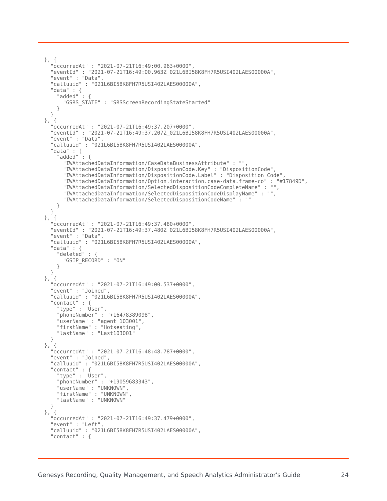```
}, {
  "occurredAt" : "2021-07-21T16:49:00.963+0000",
  "eventId" : "2021-07-21T16:49:00.963Z_021L6BI58K8FH7R5USI402LAES00000A",
  "event" : "Data",
  "calluuid" : "021L6BI58K8FH7R5USI402LAES00000A",
  "data" : {
    "added" : {
      "GSRS_STATE" : "SRSScreenRecordingStateStarted"
   }
 }
}, {
  "occurredAt" : "2021-07-21T16:49:37.207+0000",
  "eventId" : "2021-07-21T16:49:37.207Z_021L6BI58K8FH7R5USI402LAES00000A",
  "event" : "Data",
  "calluuid" : "021L6BI58K8FH7R5USI402LAES00000A",
  "data" : {
    "added" : {
      "IWAttachedDataInformation/CaseDataBusinessAttribute" : "",
      "IWAttachedDataInformation/DispositionCode.Key" : "DispositionCode",
      "IWAttachedDataInformation/DispositionCode.Label" : "Disposition Code",
      "IWAttachedDataInformation/Option.interaction.case-data.frame-co" : "#17849D",
      "IWAttachedDataInformation/SelectedDispositionCodeCompleteName" : "",
      "IWAttachedDataInformation/SelectedDispositionCodeDisplayName" : "",
     "IWAttachedDataInformation/SelectedDispositionCodeName" : ""
   }
 }
}, {
  "occurredAt" : "2021-07-21T16:49:37.480+0000",
  "eventId" : "2021-07-21T16:49:37.480Z_021L6BI58K8FH7R5USI402LAES00000A",
  "event" : "Data",
  "calluuid" : "021L6BI58K8FH7R5USI402LAES00000A",
  "data" : {
    "deleted" : {
      "GSIP_RECORD" : "ON"
   }
 }
}, {
  "occurredAt" : "2021-07-21T16:49:00.537+0000",
  "event" : "Joined",
  "calluuid" : "021L6BI58K8FH7R5USI402LAES00000A",
  "contact" : {
    "type" : "User",
    "phoneNumber" : "+16478389098",
    "userName" : "agent_103001",
    "firstName" : "Hotseating",
    "lastName" : "Last103001"
 }
}, {
  "occurredAt" : "2021-07-21T16:48:48.787+0000",
  "event" : "Joined",
  "calluuid" : "021L6BI58K8FH7R5USI402LAES00000A",
  "contact" : {
    "type" : "User",
    "phoneNumber" : "+19059683343",
    "userName" : "UNKNOWN",
    "firstName" : "UNKNOWN",
   "lastName" : "UNKNOWN"
 }
}, {
  "occurredAt" : "2021-07-21T16:49:37.479+0000",
  "event" : "Left",
  "calluuid" : "021L6BI58K8FH7R5USI402LAES00000A",
  "contact" : {
```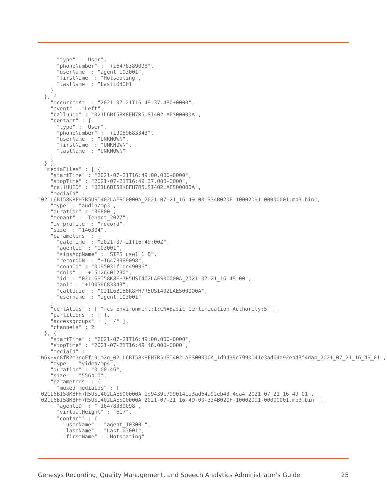```
"type" : "User",
      "phoneNumber" : "+16478389098",
     "userName" : "agent_103001",
     "firstName" : "Hotseating",
     "lastName" : "Last103001"
   }
 }, {
    "occurredAt" : "2021-07-21T16:49:37.480+0000",
   "event" : "Left",
   "calluuid" : "021L6BI58K8FH7R5USI402LAES00000A",
   "contact" : {
      "type" : "User",
      "phoneNumber" : "+19059683343",
     "userName" : "UNKNOWN",
      "firstName" : "UNKNOWN",
     "lastName" : "UNKNOWN"
   }
 } ],
  "mediaFiles" : [ {
    "startTime" : "2021-07-21T16:49:00.000+0000",
   "stopTime" : "2021-07-21T16:49:37.000+0000",
   "callUUID" : "021L6BI58K8FH7R5USI402LAES00000A",
   "mediaId" :
"021L6BI58K8FH7R5USI402LAES00000A_2021-07-21_16-49-00-334B020F-10002D91-00000001.mp3.bin",
    "type" : "audio/mp3",
   "duration" : "36800",
    "tenant" : "Tenant_2027",
    "ivrprofile" : "record",
   "size" : "146304",
    "parameters" : {
      "dateTime" : "2021-07-21T16:49:00Z",
     "agentId" : "103001",
      "sipsAppName" : "SIPS_usw1_1_B",
      "recordDN" : "+16478389098",
      "connId" : "0195031f1ec49006"
     "dnis" : "+15126401290",
     "id" : "021L6BI58K8FH7R5USI402LAES00000A_2021-07-21_16-49-00",
      "ani" : "+19059683343",
      "callUuid" : "021L6BI58K8FH7R5USI402LAES00000A",
     "username" : "agent_103001"
   },
   "certAlias" : [ "rcs_Environment:1:CN=Basic Certification Authority:5" ],
   "partitions" : [ ],
   "accessgroups" : [ "/" ],
   "channels" : 2
 }, {
   "startTime" : "2021-07-21T16:49:00.000+0000",
   "stopTime" : "2021-07-21T16:49:46.000+0000",
   "mediaId" :
"W6x+Vq8fR2m3ngFfj9Um2g_021L6BI58K8FH7R5USI402LAES00000A_1d9439c7990141e3ad64a92eb43f4da4_2021_07_21_16_49_01",
    "type" : "video/mp4",
   "duration" : "0:00:46",
   "size" : "556410",
   "parameters" : {
      "muxed_mediaIds" : [
"021L6BI58K8FH7R5USI402LAES00000A_1d9439c7990141e3ad64a92eb43f4da4_2021_07_21_16_49_01",
"021L6BI58K8FH7R5USI402LAES00000A_2021-07-21_16-49-00-334B020F-10002D91-00000001.mp3.bin" ],
     "agentID" : "+16478389098",
     "virtualHeight" : "617",
      "contact" : {
        "userName" : "agent_103001",
        "lastName" : "Last103001",
       "firstName" : "Hotseating"
```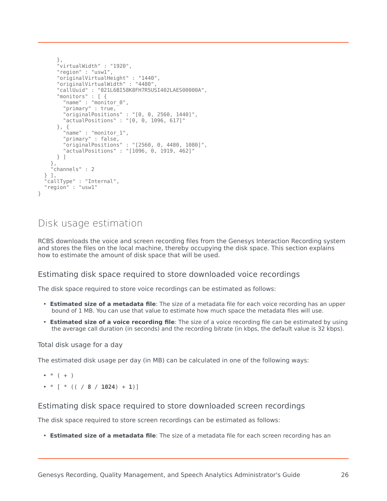```
},
    "virtualWidth" : "1920",
    "region" : "usw1",
    "originalVirtualHeight" : "1440",
    "originalVirtualWidth" : "4480",
    "callUuid" : "021L6BI58K8FH7R5USI402LAES00000A",
    "monitors" : [ {
      "name" : "monitor_0",
      "primary" : true,
      "originalPositions" : "[0, 0, 2560, 1440]",
      "actualPositions" : "[0, 0, 1096, 617]"
    }, {
      "name" : "monitor_1",
     "primary" : false,
     "originalPositions" : "[2560, 0, 4480, 1080]",
     "actualPositions" : "[1096, 0, 1919, 462]"
   } ]
  },
  "channels" : 2
} ],
"callType" : "Internal",
"region" : "usw1"
```
## <span id="page-25-0"></span>Disk usage estimation

RCBS downloads the voice and screen recording files from the Genesys Interaction Recording system and stores the files on the local machine, thereby occupying the disk space. This section explains how to estimate the amount of disk space that will be used.

#### <span id="page-25-1"></span>Estimating disk space required to store downloaded voice recordings

The disk space required to store voice recordings can be estimated as follows:

- **Estimated size of a metadata file**: The size of a metadata file for each voice recording has an upper bound of 1 MB. You can use that value to estimate how much space the metadata files will use.
- **Estimated size of a voice recording file**: The size of a voice recording file can be estimated by using the average call duration (in seconds) and the recording bitrate (in kbps, the default value is 32 kbps).

Total disk usage for a day

The estimated disk usage per day (in MB) can be calculated in one of the following ways:

$$
\bullet\quad * \quad (\quad +\quad )
$$

}

 $\bullet * [ * (( / 8 / 1024) + 1) ]$ 

#### <span id="page-25-2"></span>Estimating disk space required to store downloaded screen recordings

The disk space required to store screen recordings can be estimated as follows:

• **Estimated size of a metadata file**: The size of a metadata file for each screen recording has an